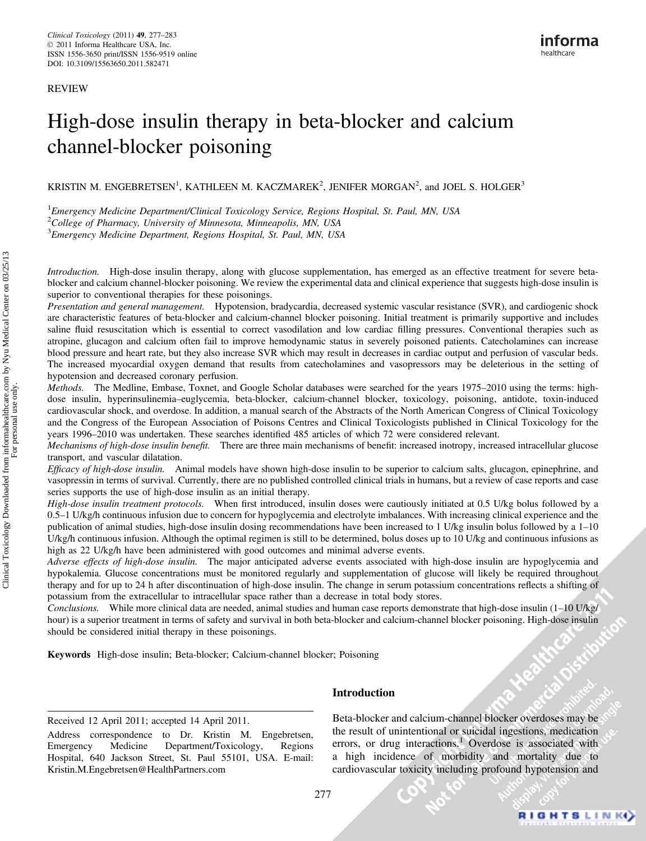REVIEW

# High-dose insulin therapy in beta-blocker and calcium channel-blocker poisoning

KRISTIN M. ENGEBRETSEN<sup>1</sup>, KATHLEEN M. KACZMAREK<sup>2</sup>, JENIFER MORGAN<sup>2</sup>, and JOEL S. HOLGER<sup>3</sup>

<sup>1</sup> Emergency Medicine Department/Clinical Toxicology Service, Regions Hospital, St. Paul, MN, USA

 $2$ College of Pharmacy, University of Minnesota, Minneapolis, MN, USA

<sup>3</sup> Emergency Medicine Department, Regions Hospital, St. Paul, MN, USA

Introduction. High-dose insulin therapy, along with glucose supplementation, has emerged as an effective treatment for severe betablocker and calcium channel-blocker poisoning. We review the experimental data and clinical experience that suggests high-dose insulin is superior to conventional therapies for these poisonings.

Presentation and general management. Hypotension, bradycardia, decreased systemic vascular resistance (SVR), and cardiogenic shock are characteristic features of beta-blocker and calcium-channel blocker poisoning. Initial treatment is primarily supportive and includes saline fluid resuscitation which is essential to correct vasodilation and low cardiac filling pressures. Conventional therapies such as atropine, glucagon and calcium often fail to improve hemodynamic status in severely poisoned patients. Catecholamines can increase blood pressure and heart rate, but they also increase SVR which may result in decreases in cardiac output and perfusion of vascular beds. The increased myocardial oxygen demand that results from catecholamines and vasopressors may be deleterious in the setting of hypotension and decreased coronary perfusion.

Methods. The Medline, Embase, Toxnet, and Google Scholar databases were searched for the years 1975–2010 using the terms: highdose insulin, hyperinsulinemia–euglycemia, beta-blocker, calcium-channel blocker, toxicology, poisoning, antidote, toxin-induced cardiovascular shock, and overdose. In addition, a manual search of the Abstracts of the North American Congress of Clinical Toxicology and the Congress of the European Association of Poisons Centres and Clinical Toxicologists published in Clinical Toxicology for the years 1996–2010 was undertaken. These searches identified 485 articles of which 72 were considered relevant.

Mechanisms of high-dose insulin benefit. There are three main mechanisms of benefit: increased inotropy, increased intracellular glucose transport, and vascular dilatation.

Efficacy of high-dose insulin. Animal models have shown high-dose insulin to be superior to calcium salts, glucagon, epinephrine, and vasopressin in terms of survival. Currently, there are no published controlled clinical trials in humans, but a review of case reports and case series supports the use of high-dose insulin as an initial therapy.

High-dose insulin treatment protocols. When first introduced, insulin doses were cautiously initiated at 0.5 U/kg bolus followed by a 0.5–1 U/kg/h continuous infusion due to concern for hypoglycemia and electrolyte imbalances. With increasing clinical experience and the publication of animal studies, high-dose insulin dosing recommendations have been increased to 1 U/kg insulin bolus followed by a 1–10 U/kg/h continuous infusion. Although the optimal regimen is still to be determined, bolus doses up to 10 U/kg and continuous infusions as high as 22 U/kg/h have been administered with good outcomes and minimal adverse events.

Adverse effects of high-dose insulin. The major anticipated adverse events associated with high-dose insulin are hypoglycemia and hypokalemia. Glucose concentrations must be monitored regularly and supplementation of glucose will likely be required throughout therapy and for up to 24 h after discontinuation of high-dose insulin. The change in serum potassium concentrations reflects a shifting of potassium from the extracellular to intracellular space rather than a decrease in total body stores.

Conclusions. While more clinical data are needed, animal studies and human case reports demonstrate that high-dose insulin (1–10 U/kg/ hour) is a superior treatment in terms of safety and survival in both beta-blocker and calcium-channel blocker poisoning. High-dose insulin should be considered initial therapy in these poisonings.

Keywords High-dose insulin; Beta-blocker; Calcium-channel blocker; Poisoning

Received 12 April 2011; accepted 14 April 2011.

Address correspondence to Dr. Kristin M. Engebretsen,<br>Emergency Medicine Department/Toxicology, Regions Department/Toxicology, Regions Hospital, 640 Jackson Street, St. Paul 55101, USA. E-mail: Kristin.M.Engebretsen@HealthPartners.com

# Introduction

Beta-blocker and calcium-channel blocker overdoses may be the result of unintentional or suicidal ingestions, medication errors, or drug interactions.<sup>1</sup> Overdose is associated with a high incidence of morbidity and mortality due to cardiovascular toxicity including profound hypotension and

277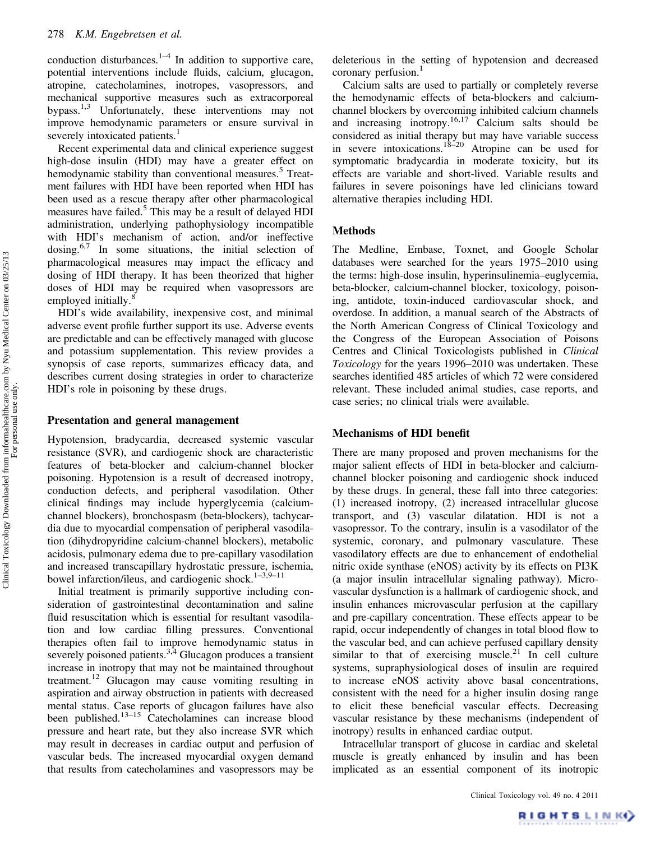conduction disturbances. $1-4$  In addition to supportive care, potential interventions include fluids, calcium, glucagon, atropine, catecholamines, inotropes, vasopressors, and mechanical supportive measures such as extracorporeal bypass.1,3 Unfortunately, these interventions may not improve hemodynamic parameters or ensure survival in severely intoxicated patients.<sup>1</sup>

Recent experimental data and clinical experience suggest high-dose insulin (HDI) may have a greater effect on hemodynamic stability than conventional measures.<sup>5</sup> Treatment failures with HDI have been reported when HDI has been used as a rescue therapy after other pharmacological measures have failed.<sup>5</sup> This may be a result of delayed HDI administration, underlying pathophysiology incompatible with HDI's mechanism of action, and/or ineffective dosing. $6,7$  In some situations, the initial selection of pharmacological measures may impact the efficacy and dosing of HDI therapy. It has been theorized that higher doses of HDI may be required when vasopressors are employed initially.<sup>8</sup>

HDI's wide availability, inexpensive cost, and minimal adverse event profile further support its use. Adverse events are predictable and can be effectively managed with glucose and potassium supplementation. This review provides a synopsis of case reports, summarizes efficacy data, and describes current dosing strategies in order to characterize HDI's role in poisoning by these drugs.

#### Presentation and general management

Hypotension, bradycardia, decreased systemic vascular resistance (SVR), and cardiogenic shock are characteristic features of beta-blocker and calcium-channel blocker poisoning. Hypotension is a result of decreased inotropy, conduction defects, and peripheral vasodilation. Other clinical findings may include hyperglycemia (calciumchannel blockers), bronchospasm (beta-blockers), tachycardia due to myocardial compensation of peripheral vasodilation (dihydropyridine calcium-channel blockers), metabolic acidosis, pulmonary edema due to pre-capillary vasodilation and increased transcapillary hydrostatic pressure, ischemia, bowel infarction/ileus, and cardiogenic shock.<sup>1-3,9-11</sup>

Initial treatment is primarily supportive including consideration of gastrointestinal decontamination and saline fluid resuscitation which is essential for resultant vasodilation and low cardiac filling pressures. Conventional therapies often fail to improve hemodynamic status in severely poisoned patients. $3,4$  Glucagon produces a transient increase in inotropy that may not be maintained throughout treatment.12 Glucagon may cause vomiting resulting in aspiration and airway obstruction in patients with decreased mental status. Case reports of glucagon failures have also been published.<sup>13-15</sup> Catecholamines can increase blood pressure and heart rate, but they also increase SVR which may result in decreases in cardiac output and perfusion of vascular beds. The increased myocardial oxygen demand that results from catecholamines and vasopressors may be

deleterious in the setting of hypotension and decreased coronary perfusion.<sup>1</sup>

Calcium salts are used to partially or completely reverse the hemodynamic effects of beta-blockers and calciumchannel blockers by overcoming inhibited calcium channels and increasing inotropy.<sup>16,17</sup> Calcium salts should be considered as initial therapy but may have variable success in severe intoxications.<sup>18–20</sup> Atropine can be used for symptomatic bradycardia in moderate toxicity, but its effects are variable and short-lived. Variable results and failures in severe poisonings have led clinicians toward alternative therapies including HDI.

## Methods

The Medline, Embase, Toxnet, and Google Scholar databases were searched for the years 1975–2010 using the terms: high-dose insulin, hyperinsulinemia–euglycemia, beta-blocker, calcium-channel blocker, toxicology, poisoning, antidote, toxin-induced cardiovascular shock, and overdose. In addition, a manual search of the Abstracts of the North American Congress of Clinical Toxicology and the Congress of the European Association of Poisons Centres and Clinical Toxicologists published in Clinical Toxicology for the years 1996–2010 was undertaken. These searches identified 485 articles of which 72 were considered relevant. These included animal studies, case reports, and case series; no clinical trials were available.

#### Mechanisms of HDI benefit

There are many proposed and proven mechanisms for the major salient effects of HDI in beta-blocker and calciumchannel blocker poisoning and cardiogenic shock induced by these drugs. In general, these fall into three categories: (1) increased inotropy, (2) increased intracellular glucose transport, and (3) vascular dilatation. HDI is not a vasopressor. To the contrary, insulin is a vasodilator of the systemic, coronary, and pulmonary vasculature. These vasodilatory effects are due to enhancement of endothelial nitric oxide synthase (eNOS) activity by its effects on PI3K (a major insulin intracellular signaling pathway). Microvascular dysfunction is a hallmark of cardiogenic shock, and insulin enhances microvascular perfusion at the capillary and pre-capillary concentration. These effects appear to be rapid, occur independently of changes in total blood flow to the vascular bed, and can achieve perfused capillary density similar to that of exercising muscle.<sup>21</sup> In cell culture systems, supraphysiological doses of insulin are required to increase eNOS activity above basal concentrations, consistent with the need for a higher insulin dosing range to elicit these beneficial vascular effects. Decreasing vascular resistance by these mechanisms (independent of inotropy) results in enhanced cardiac output.

Intracellular transport of glucose in cardiac and skeletal muscle is greatly enhanced by insulin and has been implicated as an essential component of its inotropic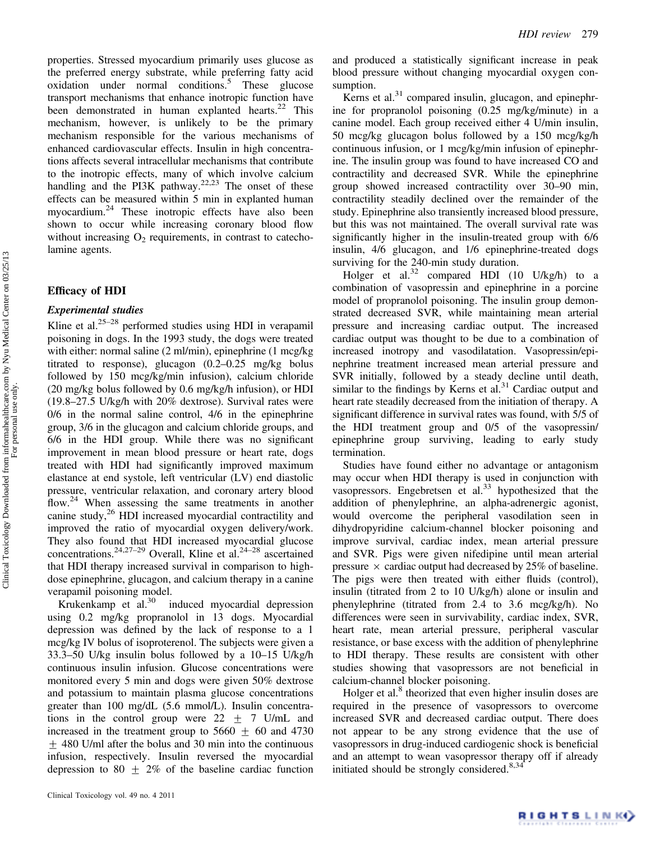properties. Stressed myocardium primarily uses glucose as the preferred energy substrate, while preferring fatty acid oxidation under normal conditions.<sup>5</sup> These glucose transport mechanisms that enhance inotropic function have been demonstrated in human explanted hearts. $22$  This mechanism, however, is unlikely to be the primary mechanism responsible for the various mechanisms of enhanced cardiovascular effects. Insulin in high concentrations affects several intracellular mechanisms that contribute to the inotropic effects, many of which involve calcium handling and the PI3K pathway.<sup>22,23</sup> The onset of these effects can be measured within 5 min in explanted human myocardium.24 These inotropic effects have also been shown to occur while increasing coronary blood flow without increasing  $O<sub>2</sub>$  requirements, in contrast to catecholamine agents.

## Efficacy of HDI

## Experimental studies

Kline et al. $25-28$  performed studies using HDI in verapamil poisoning in dogs. In the 1993 study, the dogs were treated with either: normal saline (2 ml/min), epinephrine (1 mcg/kg titrated to response), glucagon (0.2–0.25 mg/kg bolus followed by 150 mcg/kg/min infusion), calcium chloride (20 mg/kg bolus followed by 0.6 mg/kg/h infusion), or HDI (19.8–27.5 U/kg/h with 20% dextrose). Survival rates were 0/6 in the normal saline control, 4/6 in the epinephrine group, 3/6 in the glucagon and calcium chloride groups, and 6/6 in the HDI group. While there was no significant improvement in mean blood pressure or heart rate, dogs treated with HDI had significantly improved maximum elastance at end systole, left ventricular (LV) end diastolic pressure, ventricular relaxation, and coronary artery blood flow.<sup>24</sup> When assessing the same treatments in another canine study,<sup>26</sup> HDI increased myocardial contractility and improved the ratio of myocardial oxygen delivery/work. They also found that HDI increased myocardial glucose concentrations.<sup>24,27–29</sup> Overall, Kline et al.<sup>24–28</sup> ascertained that HDI therapy increased survival in comparison to highdose epinephrine, glucagon, and calcium therapy in a canine verapamil poisoning model.

Krukenkamp et al.<sup>30</sup> induced myocardial depression using 0.2 mg/kg propranolol in 13 dogs. Myocardial depression was defined by the lack of response to a 1 mcg/kg IV bolus of isoproterenol. The subjects were given a 33.3–50 U/kg insulin bolus followed by a 10–15 U/kg/h continuous insulin infusion. Glucose concentrations were monitored every 5 min and dogs were given 50% dextrose and potassium to maintain plasma glucose concentrations greater than 100 mg/dL (5.6 mmol/L). Insulin concentrations in the control group were  $22 + 7$  U/mL and increased in the treatment group to  $5660 \pm 60$  and 4730  $\pm$  480 U/ml after the bolus and 30 min into the continuous infusion, respectively. Insulin reversed the myocardial depression to 80  $\pm$  2% of the baseline cardiac function

Kerns et al. $31$  compared insulin, glucagon, and epinephrine for propranolol poisoning (0.25 mg/kg/minute) in a canine model. Each group received either 4 U/min insulin, 50 mcg/kg glucagon bolus followed by a 150 mcg/kg/h continuous infusion, or 1 mcg/kg/min infusion of epinephrine. The insulin group was found to have increased CO and contractility and decreased SVR. While the epinephrine group showed increased contractility over 30–90 min, contractility steadily declined over the remainder of the study. Epinephrine also transiently increased blood pressure, but this was not maintained. The overall survival rate was significantly higher in the insulin-treated group with 6/6 insulin, 4/6 glucagon, and 1/6 epinephrine-treated dogs surviving for the 240-min study duration.

Holger et al.<sup>32</sup> compared HDI (10 U/kg/h) to a combination of vasopressin and epinephrine in a porcine model of propranolol poisoning. The insulin group demonstrated decreased SVR, while maintaining mean arterial pressure and increasing cardiac output. The increased cardiac output was thought to be due to a combination of increased inotropy and vasodilatation. Vasopressin/epinephrine treatment increased mean arterial pressure and SVR initially, followed by a steady decline until death, similar to the findings by Kerns et al. $31$  Cardiac output and heart rate steadily decreased from the initiation of therapy. A significant difference in survival rates was found, with 5/5 of the HDI treatment group and 0/5 of the vasopressin/ epinephrine group surviving, leading to early study termination.

Studies have found either no advantage or antagonism may occur when HDI therapy is used in conjunction with vasopressors. Engebretsen et al. $33$  hypothesized that the addition of phenylephrine, an alpha-adrenergic agonist, would overcome the peripheral vasodilation seen in dihydropyridine calcium-channel blocker poisoning and improve survival, cardiac index, mean arterial pressure and SVR. Pigs were given nifedipine until mean arterial pressure  $\times$  cardiac output had decreased by 25% of baseline. The pigs were then treated with either fluids (control), insulin (titrated from 2 to 10 U/kg/h) alone or insulin and phenylephrine (titrated from 2.4 to 3.6 mcg/kg/h). No differences were seen in survivability, cardiac index, SVR, heart rate, mean arterial pressure, peripheral vascular resistance, or base excess with the addition of phenylephrine to HDI therapy. These results are consistent with other studies showing that vasopressors are not beneficial in calcium-channel blocker poisoning.

Holger et al.<sup>8</sup> theorized that even higher insulin doses are required in the presence of vasopressors to overcome increased SVR and decreased cardiac output. There does not appear to be any strong evidence that the use of vasopressors in drug-induced cardiogenic shock is beneficial and an attempt to wean vasopressor therapy off if already initiated should be strongly considered.<sup>8,34</sup>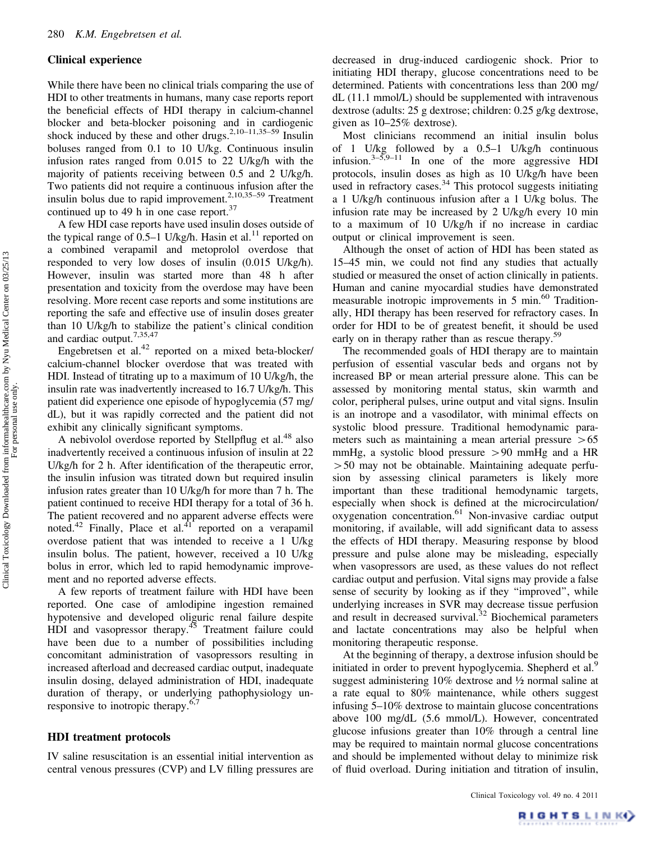### Clinical experience

While there have been no clinical trials comparing the use of HDI to other treatments in humans, many case reports report the beneficial effects of HDI therapy in calcium-channel blocker and beta-blocker poisoning and in cardiogenic shock induced by these and other drugs.<sup>2,10–11,35–59</sup> Insulin boluses ranged from 0.1 to 10 U/kg. Continuous insulin infusion rates ranged from 0.015 to 22 U/kg/h with the majority of patients receiving between 0.5 and 2 U/kg/h. Two patients did not require a continuous infusion after the insulin bolus due to rapid improvement.<sup>2,10,35–59</sup> Treatment continued up to 49 h in one case report. $37$ 

A few HDI case reports have used insulin doses outside of the typical range of 0.5–1 U/kg/h. Hasin et al.<sup>11</sup> reported on a combined verapamil and metoprolol overdose that responded to very low doses of insulin (0.015 U/kg/h). However, insulin was started more than 48 h after presentation and toxicity from the overdose may have been resolving. More recent case reports and some institutions are reporting the safe and effective use of insulin doses greater than 10 U/kg/h to stabilize the patient's clinical condition and cardiac output.7,35,47

Engebretsen et al. $42$  reported on a mixed beta-blocker/ calcium-channel blocker overdose that was treated with HDI. Instead of titrating up to a maximum of 10 U/kg/h, the insulin rate was inadvertently increased to 16.7 U/kg/h. This patient did experience one episode of hypoglycemia (57 mg/ dL), but it was rapidly corrected and the patient did not exhibit any clinically significant symptoms.

A nebivolol overdose reported by Stellpflug et al.<sup>48</sup> also inadvertently received a continuous infusion of insulin at 22 U/kg/h for 2 h. After identification of the therapeutic error, the insulin infusion was titrated down but required insulin infusion rates greater than 10 U/kg/h for more than 7 h. The patient continued to receive HDI therapy for a total of 36 h. The patient recovered and no apparent adverse effects were noted.<sup>42</sup> Finally, Place et al.<sup>41</sup> reported on a verapamil overdose patient that was intended to receive a 1 U/kg insulin bolus. The patient, however, received a 10 U/kg bolus in error, which led to rapid hemodynamic improvement and no reported adverse effects.

A few reports of treatment failure with HDI have been reported. One case of amlodipine ingestion remained hypotensive and developed oliguric renal failure despite HDI and vasopressor therapy.<sup>45</sup> Treatment failure could have been due to a number of possibilities including concomitant administration of vasopressors resulting in increased afterload and decreased cardiac output, inadequate insulin dosing, delayed administration of HDI, inadequate duration of therapy, or underlying pathophysiology unresponsive to inotropic therapy. $6,7$ 

#### HDI treatment protocols

IV saline resuscitation is an essential initial intervention as central venous pressures (CVP) and LV filling pressures are decreased in drug-induced cardiogenic shock. Prior to initiating HDI therapy, glucose concentrations need to be determined. Patients with concentrations less than 200 mg/ dL (11.1 mmol/L) should be supplemented with intravenous dextrose (adults: 25 g dextrose; children: 0.25 g/kg dextrose, given as 10–25% dextrose).

Most clinicians recommend an initial insulin bolus of 1 U/kg followed by a 0.5–1 U/kg/h continuous infusion. $3-5,9-11$  In one of the more aggressive HDI protocols, insulin doses as high as 10 U/kg/h have been used in refractory cases.<sup>34</sup> This protocol suggests initiating a 1 U/kg/h continuous infusion after a 1 U/kg bolus. The infusion rate may be increased by 2 U/kg/h every 10 min to a maximum of 10 U/kg/h if no increase in cardiac output or clinical improvement is seen.

Although the onset of action of HDI has been stated as 15–45 min, we could not find any studies that actually studied or measured the onset of action clinically in patients. Human and canine myocardial studies have demonstrated measurable inotropic improvements in 5 min.<sup>60</sup> Traditionally, HDI therapy has been reserved for refractory cases. In order for HDI to be of greatest benefit, it should be used early on in therapy rather than as rescue therapy.<sup>59</sup>

The recommended goals of HDI therapy are to maintain perfusion of essential vascular beds and organs not by increased BP or mean arterial pressure alone. This can be assessed by monitoring mental status, skin warmth and color, peripheral pulses, urine output and vital signs. Insulin is an inotrope and a vasodilator, with minimal effects on systolic blood pressure. Traditional hemodynamic parameters such as maintaining a mean arterial pressure  $>65$ mmHg, a systolic blood pressure  $> 90$  mmHg and a HR  $>50$  may not be obtainable. Maintaining adequate perfusion by assessing clinical parameters is likely more important than these traditional hemodynamic targets, especially when shock is defined at the microcirculation/ oxygenation concentration.61 Non-invasive cardiac output monitoring, if available, will add significant data to assess the effects of HDI therapy. Measuring response by blood pressure and pulse alone may be misleading, especially when vasopressors are used, as these values do not reflect cardiac output and perfusion. Vital signs may provide a false sense of security by looking as if they ''improved'', while underlying increases in SVR may decrease tissue perfusion and result in decreased survival.<sup>32</sup> Biochemical parameters and lactate concentrations may also be helpful when monitoring therapeutic response.

At the beginning of therapy, a dextrose infusion should be initiated in order to prevent hypoglycemia. Shepherd et al.<sup>9</sup> suggest administering 10% dextrose and ½ normal saline at a rate equal to 80% maintenance, while others suggest infusing 5–10% dextrose to maintain glucose concentrations above 100 mg/dL (5.6 mmol/L). However, concentrated glucose infusions greater than 10% through a central line may be required to maintain normal glucose concentrations and should be implemented without delay to minimize risk of fluid overload. During initiation and titration of insulin,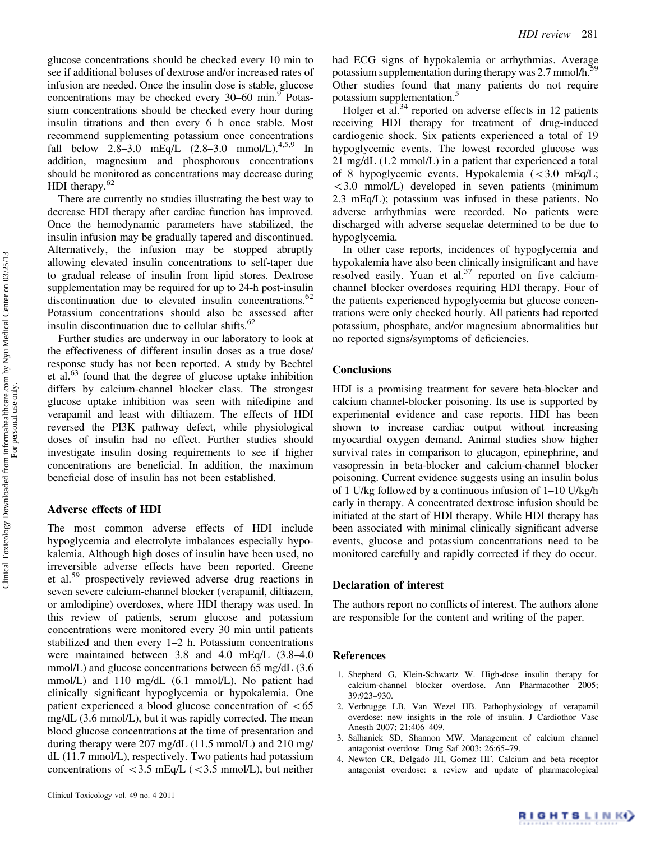glucose concentrations should be checked every 10 min to see if additional boluses of dextrose and/or increased rates of infusion are needed. Once the insulin dose is stable, glucose concentrations may be checked every 30–60 min.<sup>9</sup> Potassium concentrations should be checked every hour during insulin titrations and then every 6 h once stable. Most recommend supplementing potassium once concentrations fall below 2.8–3.0 mEq/L  $(2.8-3.0 \text{ mmol/L})^{4,5,9}$  In addition, magnesium and phosphorous concentrations should be monitored as concentrations may decrease during HDI therapy.<sup>62</sup>

There are currently no studies illustrating the best way to decrease HDI therapy after cardiac function has improved. Once the hemodynamic parameters have stabilized, the insulin infusion may be gradually tapered and discontinued. Alternatively, the infusion may be stopped abruptly allowing elevated insulin concentrations to self-taper due to gradual release of insulin from lipid stores. Dextrose supplementation may be required for up to 24-h post-insulin discontinuation due to elevated insulin concentrations.<sup>62</sup> Potassium concentrations should also be assessed after insulin discontinuation due to cellular shifts.<sup>62</sup>

Further studies are underway in our laboratory to look at the effectiveness of different insulin doses as a true dose/ response study has not been reported. A study by Bechtel et al. $^{63}$  found that the degree of glucose uptake inhibition differs by calcium-channel blocker class. The strongest glucose uptake inhibition was seen with nifedipine and verapamil and least with diltiazem. The effects of HDI reversed the PI3K pathway defect, while physiological doses of insulin had no effect. Further studies should investigate insulin dosing requirements to see if higher concentrations are beneficial. In addition, the maximum beneficial dose of insulin has not been established.

# Adverse effects of HDI

The most common adverse effects of HDI include hypoglycemia and electrolyte imbalances especially hypokalemia. Although high doses of insulin have been used, no irreversible adverse effects have been reported. Greene et al.<sup>59</sup> prospectively reviewed adverse drug reactions in seven severe calcium-channel blocker (verapamil, diltiazem, or amlodipine) overdoses, where HDI therapy was used. In this review of patients, serum glucose and potassium concentrations were monitored every 30 min until patients stabilized and then every 1–2 h. Potassium concentrations were maintained between 3.8 and 4.0 mEq/L (3.8–4.0 mmol/L) and glucose concentrations between 65 mg/dL (3.6 mmol/L) and 110 mg/dL (6.1 mmol/L). No patient had clinically significant hypoglycemia or hypokalemia. One patient experienced a blood glucose concentration of  $< 65$ mg/dL (3.6 mmol/L), but it was rapidly corrected. The mean blood glucose concentrations at the time of presentation and during therapy were 207 mg/dL (11.5 mmol/L) and 210 mg/ dL (11.7 mmol/L), respectively. Two patients had potassium concentrations of  $<$  3.5 mEq/L ( $<$  3.5 mmol/L), but neither

had ECG signs of hypokalemia or arrhythmias. Average potassium supplementation during therapy was 2.7 mmol/h.<sup>59</sup> Other studies found that many patients do not require potassium supplementation.<sup>5</sup>

Holger et al. $34$  reported on adverse effects in 12 patients receiving HDI therapy for treatment of drug-induced cardiogenic shock. Six patients experienced a total of 19 hypoglycemic events. The lowest recorded glucose was 21 mg/dL (1.2 mmol/L) in a patient that experienced a total of 8 hypoglycemic events. Hypokalemia  $\langle$  < 3.0 mEq/L; 53.0 mmol/L) developed in seven patients (minimum 2.3 mEq/L); potassium was infused in these patients. No adverse arrhythmias were recorded. No patients were discharged with adverse sequelae determined to be due to hypoglycemia.

In other case reports, incidences of hypoglycemia and hypokalemia have also been clinically insignificant and have resolved easily. Yuan et al. $37$  reported on five calciumchannel blocker overdoses requiring HDI therapy. Four of the patients experienced hypoglycemia but glucose concentrations were only checked hourly. All patients had reported potassium, phosphate, and/or magnesium abnormalities but no reported signs/symptoms of deficiencies.

# **Conclusions**

HDI is a promising treatment for severe beta-blocker and calcium channel-blocker poisoning. Its use is supported by experimental evidence and case reports. HDI has been shown to increase cardiac output without increasing myocardial oxygen demand. Animal studies show higher survival rates in comparison to glucagon, epinephrine, and vasopressin in beta-blocker and calcium-channel blocker poisoning. Current evidence suggests using an insulin bolus of 1 U/kg followed by a continuous infusion of 1–10 U/kg/h early in therapy. A concentrated dextrose infusion should be initiated at the start of HDI therapy. While HDI therapy has been associated with minimal clinically significant adverse events, glucose and potassium concentrations need to be monitored carefully and rapidly corrected if they do occur.

#### Declaration of interest

The authors report no conflicts of interest. The authors alone are responsible for the content and writing of the paper.

#### References

- 1. Shepherd G, Klein-Schwartz W. High-dose insulin therapy for calcium-channel blocker overdose. Ann Pharmacother 2005; 39:923–930.
- 2. Verbrugge LB, Van Wezel HB. Pathophysiology of verapamil overdose: new insights in the role of insulin. J Cardiothor Vasc Anesth 2007; 21:406–409.
- 3. Salhanick SD, Shannon MW. Management of calcium channel antagonist overdose. Drug Saf 2003; 26:65–79.
- 4. Newton CR, Delgado JH, Gomez HF. Calcium and beta receptor antagonist overdose: a review and update of pharmacological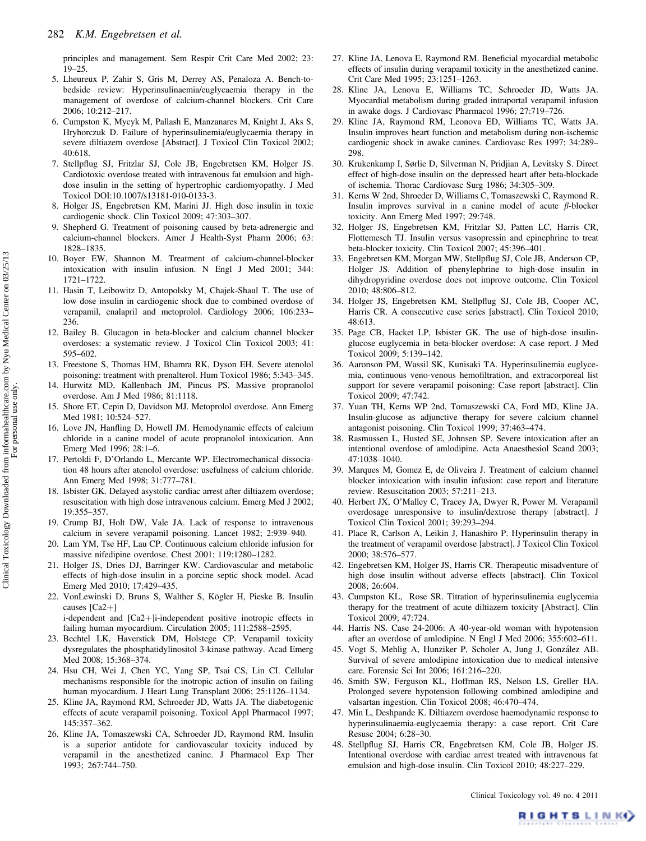principles and management. Sem Respir Crit Care Med 2002; 23: 19–25.

- 5. Lheureux P, Zahir S, Gris M, Derrey AS, Penaloza A. Bench-tobedside review: Hyperinsulinaemia/euglycaemia therapy in the management of overdose of calcium-channel blockers. Crit Care 2006; 10:212–217.
- 6. Cumpston K, Mycyk M, Pallash E, Manzanares M, Knight J, Aks S, Hryhorczuk D. Failure of hyperinsulinemia/euglycaemia therapy in severe diltiazem overdose [Abstract]. J Toxicol Clin Toxicol 2002; 40:618.
- 7. Stellpflug SJ, Fritzlar SJ, Cole JB, Engebretsen KM, Holger JS. Cardiotoxic overdose treated with intravenous fat emulsion and highdose insulin in the setting of hypertrophic cardiomyopathy. J Med Toxicol DOI:10.1007/s13181-010-0133-3.
- 8. Holger JS, Engebretsen KM, Marini JJ. High dose insulin in toxic cardiogenic shock. Clin Toxicol 2009; 47:303–307.
- 9. Shepherd G. Treatment of poisoning caused by beta-adrenergic and calcium-channel blockers. Amer J Health-Syst Pharm 2006; 63: 1828–1835.
- 10. Boyer EW, Shannon M. Treatment of calcium-channel-blocker intoxication with insulin infusion. N Engl J Med 2001; 344: 1721–1722.
- 11. Hasin T, Leibowitz D, Antopolsky M, Chajek-Shaul T. The use of low dose insulin in cardiogenic shock due to combined overdose of verapamil, enalapril and metoprolol. Cardiology 2006; 106:233– 236.
- 12. Bailey B. Glucagon in beta-blocker and calcium channel blocker overdoses: a systematic review. J Toxicol Clin Toxicol 2003; 41: 595–602.
- 13. Freestone S, Thomas HM, Bhamra RK, Dyson EH. Severe atenolol poisoning: treatment with prenalterol. Hum Toxicol 1986; 5:343–345.
- 14. Hurwitz MD, Kallenbach JM, Pincus PS. Massive propranolol overdose. Am J Med 1986; 81:1118.
- 15. Shore ET, Cepin D, Davidson MJ. Metoprolol overdose. Ann Emerg Med 1981; 10:524–527.
- 16. Love JN, Hanfling D, Howell JM. Hemodynamic effects of calcium chloride in a canine model of acute propranolol intoxication. Ann Emerg Med 1996; 28:1–6.
- 17. Pertoldi F, D'Orlando L, Mercante WP. Electromechanical dissociation 48 hours after atenolol overdose: usefulness of calcium chloride. Ann Emerg Med 1998; 31:777–781.
- 18. Isbister GK. Delayed asystolic cardiac arrest after diltiazem overdose; resuscitation with high dose intravenous calcium. Emerg Med J 2002; 19:355–357.
- 19. Crump BJ, Holt DW, Vale JA. Lack of response to intravenous calcium in severe verapamil poisoning. Lancet 1982; 2:939–940.
- 20. Lam YM, Tse HF, Lau CP. Continuous calcium chloride infusion for massive nifedipine overdose. Chest 2001; 119:1280–1282.
- 21. Holger JS, Dries DJ, Barringer KW. Cardiovascular and metabolic effects of high-dose insulin in a porcine septic shock model. Acad Emerg Med 2010; 17:429–435.
- 22. VonLewinski D, Bruns S, Walther S, Kögler H, Pieske B. Insulin causes  $[Ca2+]$

 $i$ -dependent and  $[Ca2+]$  $i$ -independent positive inotropic effects in failing human myocardium. Circulation 2005; 111:2588–2595.

- 23. Bechtel LK, Haverstick DM, Holstege CP. Verapamil toxicity dysregulates the phosphatidylinositol 3-kinase pathway. Acad Emerg Med 2008; 15:368–374.
- 24. Hsu CH, Wei J, Chen YC, Yang SP, Tsai CS, Lin CI. Cellular mechanisms responsible for the inotropic action of insulin on failing human myocardium. J Heart Lung Transplant 2006; 25:1126–1134.
- 25. Kline JA, Raymond RM, Schroeder JD, Watts JA. The diabetogenic effects of acute verapamil poisoning. Toxicol Appl Pharmacol 1997; 145:357–362.
- 26. Kline JA, Tomaszewski CA, Schroeder JD, Raymond RM. Insulin is a superior antidote for cardiovascular toxicity induced by verapamil in the anesthetized canine. J Pharmacol Exp Ther 1993; 267:744–750.
- 27. Kline JA, Lenova E, Raymond RM. Beneficial myocardial metabolic effects of insulin during verapamil toxicity in the anesthetized canine. Crit Care Med 1995; 23:1251–1263.
- 28. Kline JA, Lenova E, Williams TC, Schroeder JD, Watts JA. Myocardial metabolism during graded intraportal verapamil infusion in awake dogs. J Cardiovasc Pharmacol 1996; 27:719–726.
- 29. Kline JA, Raymond RM, Leonova ED, Williams TC, Watts JA. Insulin improves heart function and metabolism during non-ischemic cardiogenic shock in awake canines. Cardiovasc Res 1997; 34:289– 298.
- 30. Krukenkamp I, Sørlie D, Silverman N, Pridjian A, Levitsky S. Direct effect of high-dose insulin on the depressed heart after beta-blockade of ischemia. Thorac Cardiovasc Surg 1986; 34:305–309.
- 31. Kerns W 2nd, Shroeder D, Williams C, Tomaszewski C, Raymond R. Insulin improves survival in a canine model of acute  $\beta$ -blocker toxicity. Ann Emerg Med 1997; 29:748.
- 32. Holger JS, Engebretsen KM, Fritzlar SJ, Patten LC, Harris CR, Flottemesch TJ. Insulin versus vasopressin and epinephrine to treat beta-blocker toxicity. Clin Toxicol 2007; 45:396–401.
- 33. Engebretsen KM, Morgan MW, Stellpflug SJ, Cole JB, Anderson CP, Holger JS. Addition of phenylephrine to high-dose insulin in dihydropyridine overdose does not improve outcome. Clin Toxicol 2010; 48:806–812.
- 34. Holger JS, Engebretsen KM, Stellpflug SJ, Cole JB, Cooper AC, Harris CR. A consecutive case series [abstract]. Clin Toxicol 2010; 48:613.
- 35. Page CB, Hacket LP, Isbister GK. The use of high-dose insulinglucose euglycemia in beta-blocker overdose: A case report. J Med Toxicol 2009; 5:139–142.
- 36. Aaronson PM, Wassil SK, Kunisaki TA. Hyperinsulinemia euglycemia, continuous veno-venous hemofiltration, and extracorporeal list support for severe verapamil poisoning: Case report [abstract]. Clin Toxicol 2009; 47:742.
- 37. Yuan TH, Kerns WP 2nd, Tomaszewski CA, Ford MD, Kline JA. Insulin-glucose as adjunctive therapy for severe calcium channel antagonist poisoning. Clin Toxicol 1999; 37:463–474.
- 38. Rasmussen L, Husted SE, Johnsen SP. Severe intoxication after an intentional overdose of amlodipine. Acta Anaesthesiol Scand 2003; 47:1038–1040.
- 39. Marques M, Gomez E, de Oliveira J. Treatment of calcium channel blocker intoxication with insulin infusion: case report and literature review. Resuscitation 2003; 57:211–213.
- 40. Herbert JX, O'Malley C, Tracey JA, Dwyer R, Power M. Verapamil overdosage unresponsive to insulin/dextrose therapy [abstract]. J Toxicol Clin Toxicol 2001; 39:293–294.
- 41. Place R, Carlson A, Leikin J, Hanashiro P. Hyperinsulin therapy in the treatment of verapamil overdose [abstract]. J Toxicol Clin Toxicol 2000; 38:576–577.
- 42. Engebretsen KM, Holger JS, Harris CR. Therapeutic misadventure of high dose insulin without adverse effects [abstract]. Clin Toxicol 2008; 26:604.
- 43. Cumpston KL, Rose SR. Titration of hyperinsulinemia euglycemia therapy for the treatment of acute diltiazem toxicity [Abstract]. Clin Toxicol 2009; 47:724.
- 44. Harris NS. Case 24-2006: A 40-year-old woman with hypotension after an overdose of amlodipine. N Engl J Med 2006; 355:602–611.
- 45. Vogt S, Mehlig A, Hunziker P, Scholer A, Jung J, González AB. Survival of severe amlodipine intoxication due to medical intensive care. Forensic Sci Int 2006; 161:216–220.
- 46. Smith SW, Ferguson KL, Hoffman RS, Nelson LS, Greller HA. Prolonged severe hypotension following combined amlodipine and valsartan ingestion. Clin Toxicol 2008; 46:470–474.
- 47. Min L, Deshpande K. Diltiazem overdose haemodynamic response to hyperinsulinaemia-euglycaemia therapy: a case report. Crit Care Resusc 2004; 6:28–30.
- 48. Stellpflug SJ, Harris CR, Engebretsen KM, Cole JB, Holger JS. Intentional overdose with cardiac arrest treated with intravenous fat emulsion and high-dose insulin. Clin Toxicol 2010; 48:227–229.

RIGHTS LINKO